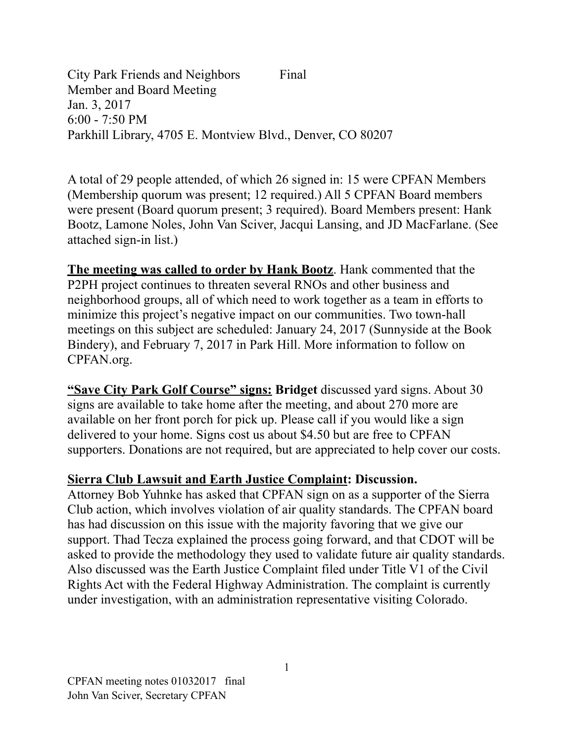City Park Friends and Neighbors Final Member and Board Meeting Jan. 3, 2017 6:00 - 7:50 PM Parkhill Library, 4705 E. Montview Blvd., Denver, CO 80207

A total of 29 people attended, of which 26 signed in: 15 were CPFAN Members (Membership quorum was present; 12 required.) All 5 CPFAN Board members were present (Board quorum present; 3 required). Board Members present: Hank Bootz, Lamone Noles, John Van Sciver, Jacqui Lansing, and JD MacFarlane. (See attached sign-in list.)

**The meeting was called to order by Hank Bootz**. Hank commented that the P2PH project continues to threaten several RNOs and other business and neighborhood groups, all of which need to work together as a team in efforts to minimize this project's negative impact on our communities. Two town-hall meetings on this subject are scheduled: January 24, 2017 (Sunnyside at the Book Bindery), and February 7, 2017 in Park Hill. More information to follow on CPFAN.org.

**"Save City Park Golf Course" signs: Bridget** discussed yard signs. About 30 signs are available to take home after the meeting, and about 270 more are available on her front porch for pick up. Please call if you would like a sign delivered to your home. Signs cost us about \$4.50 but are free to CPFAN supporters. Donations are not required, but are appreciated to help cover our costs.

## **Sierra Club Lawsuit and Earth Justice Complaint: Discussion.**

Attorney Bob Yuhnke has asked that CPFAN sign on as a supporter of the Sierra Club action, which involves violation of air quality standards. The CPFAN board has had discussion on this issue with the majority favoring that we give our support. Thad Tecza explained the process going forward, and that CDOT will be asked to provide the methodology they used to validate future air quality standards. Also discussed was the Earth Justice Complaint filed under Title V1 of the Civil Rights Act with the Federal Highway Administration. The complaint is currently under investigation, with an administration representative visiting Colorado.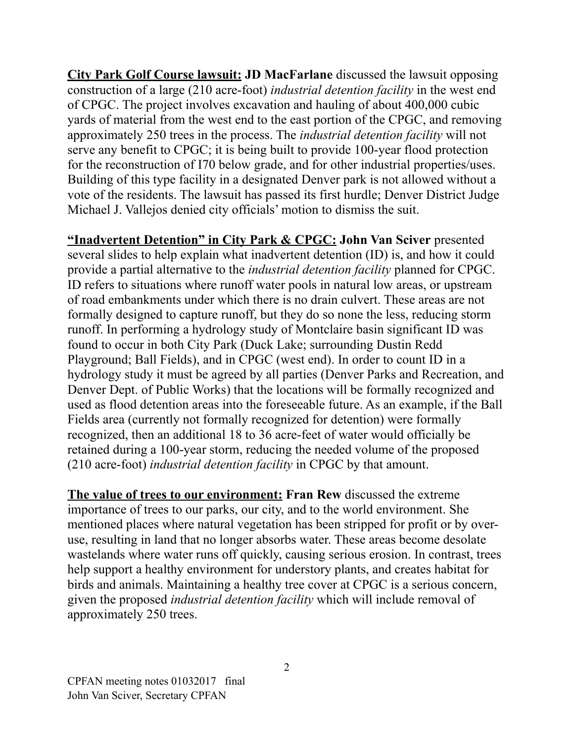**City Park Golf Course lawsuit: JD MacFarlane** discussed the lawsuit opposing construction of a large (210 acre-foot) *industrial detention facility* in the west end of CPGC. The project involves excavation and hauling of about 400,000 cubic yards of material from the west end to the east portion of the CPGC, and removing approximately 250 trees in the process. The *industrial detention facility* will not serve any benefit to CPGC; it is being built to provide 100-year flood protection for the reconstruction of I70 below grade, and for other industrial properties/uses. Building of this type facility in a designated Denver park is not allowed without a vote of the residents. The lawsuit has passed its first hurdle; Denver District Judge Michael J. Vallejos denied city officials' motion to dismiss the suit.

**"Inadvertent Detention" in City Park & CPGC: John Van Sciver** presented several slides to help explain what inadvertent detention (ID) is, and how it could provide a partial alternative to the *industrial detention facility* planned for CPGC. ID refers to situations where runoff water pools in natural low areas, or upstream of road embankments under which there is no drain culvert. These areas are not formally designed to capture runoff, but they do so none the less, reducing storm runoff. In performing a hydrology study of Montclaire basin significant ID was found to occur in both City Park (Duck Lake; surrounding Dustin Redd Playground; Ball Fields), and in CPGC (west end). In order to count ID in a hydrology study it must be agreed by all parties (Denver Parks and Recreation, and Denver Dept. of Public Works) that the locations will be formally recognized and used as flood detention areas into the foreseeable future. As an example, if the Ball Fields area (currently not formally recognized for detention) were formally recognized, then an additional 18 to 36 acre-feet of water would officially be retained during a 100-year storm, reducing the needed volume of the proposed (210 acre-foot) *industrial detention facility* in CPGC by that amount.

**The value of trees to our environment: Fran Rew** discussed the extreme importance of trees to our parks, our city, and to the world environment. She mentioned places where natural vegetation has been stripped for profit or by overuse, resulting in land that no longer absorbs water. These areas become desolate wastelands where water runs off quickly, causing serious erosion. In contrast, trees help support a healthy environment for understory plants, and creates habitat for birds and animals. Maintaining a healthy tree cover at CPGC is a serious concern, given the proposed *industrial detention facility* which will include removal of approximately 250 trees.